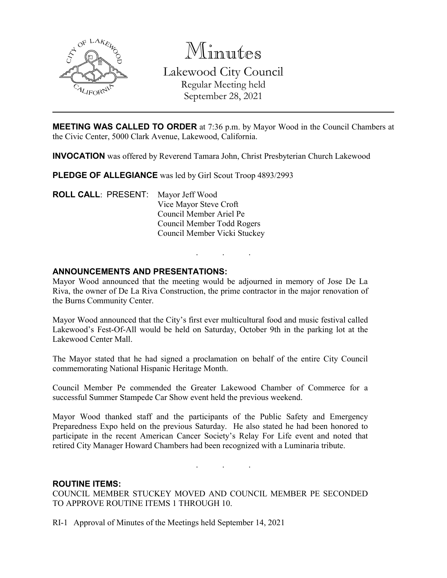

Minutes Lakewood City Council Regular Meeting held September 28, 2021

**MEETING WAS CALLED TO ORDER** at 7:36 p.m. by Mayor Wood in the Council Chambers at the Civic Center, 5000 Clark Avenue, Lakewood, California.

**INVOCATION** was offered by Reverend Tamara John, Christ Presbyterian Church Lakewood

**PLEDGE OF ALLEGIANCE** was led by Girl Scout Troop 4893/2993

**ROLL CALL**: PRESENT: Mayor Jeff Wood Vice Mayor Steve Croft Council Member Ariel Pe Council Member Todd Rogers Council Member Vicki Stuckey

## **ANNOUNCEMENTS AND PRESENTATIONS:**

Mayor Wood announced that the meeting would be adjourned in memory of Jose De La Riva, the owner of De La Riva Construction, the prime contractor in the major renovation of the Burns Community Center.

. . .

Mayor Wood announced that the City's first ever multicultural food and music festival called Lakewood's Fest-Of-All would be held on Saturday, October 9th in the parking lot at the Lakewood Center Mall.

The Mayor stated that he had signed a proclamation on behalf of the entire City Council commemorating National Hispanic Heritage Month.

Council Member Pe commended the Greater Lakewood Chamber of Commerce for a successful Summer Stampede Car Show event held the previous weekend.

Mayor Wood thanked staff and the participants of the Public Safety and Emergency Preparedness Expo held on the previous Saturday. He also stated he had been honored to participate in the recent American Cancer Society's Relay For Life event and noted that retired City Manager Howard Chambers had been recognized with a Luminaria tribute.

. . .

### **ROUTINE ITEMS:**

COUNCIL MEMBER STUCKEY MOVED AND COUNCIL MEMBER PE SECONDED TO APPROVE ROUTINE ITEMS 1 THROUGH 10.

RI-1 Approval of Minutes of the Meetings held September 14, 2021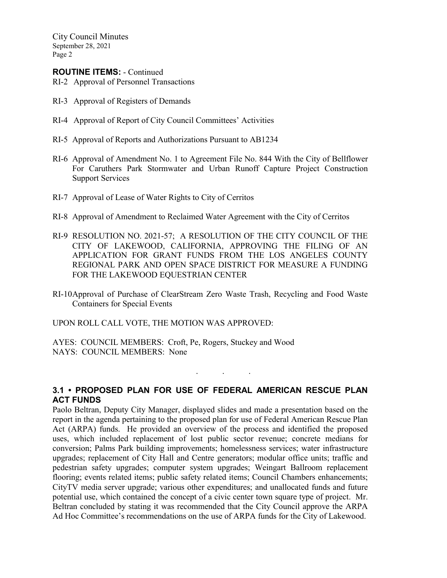City Council Minutes September 28, 2021 Page 2

### **ROUTINE ITEMS:** - Continued

- RI-2 Approval of Personnel Transactions
- RI-3 Approval of Registers of Demands
- RI-4 Approval of Report of City Council Committees' Activities
- RI-5 Approval of Reports and Authorizations Pursuant to AB1234
- RI-6 Approval of Amendment No. 1 to Agreement File No. 844 With the City of Bellflower For Caruthers Park Stormwater and Urban Runoff Capture Project Construction Support Services
- RI-7 Approval of Lease of Water Rights to City of Cerritos
- RI-8 Approval of Amendment to Reclaimed Water Agreement with the City of Cerritos
- RI-9 RESOLUTION NO. 2021-57; A RESOLUTION OF THE CITY COUNCIL OF THE CITY OF LAKEWOOD, CALIFORNIA, APPROVING THE FILING OF AN APPLICATION FOR GRANT FUNDS FROM THE LOS ANGELES COUNTY REGIONAL PARK AND OPEN SPACE DISTRICT FOR MEASURE A FUNDING FOR THE LAKEWOOD EQUESTRIAN CENTER
- RI-10Approval of Purchase of ClearStream Zero Waste Trash, Recycling and Food Waste Containers for Special Events

UPON ROLL CALL VOTE, THE MOTION WAS APPROVED:

AYES: COUNCIL MEMBERS: Croft, Pe, Rogers, Stuckey and Wood NAYS: COUNCIL MEMBERS: None

## **3.1 • PROPOSED PLAN FOR USE OF FEDERAL AMERICAN RESCUE PLAN ACT FUNDS**

. . .

Paolo Beltran, Deputy City Manager, displayed slides and made a presentation based on the report in the agenda pertaining to the proposed plan for use of Federal American Rescue Plan Act (ARPA) funds. He provided an overview of the process and identified the proposed uses, which included replacement of lost public sector revenue; concrete medians for conversion; Palms Park building improvements; homelessness services; water infrastructure upgrades; replacement of City Hall and Centre generators; modular office units; traffic and pedestrian safety upgrades; computer system upgrades; Weingart Ballroom replacement flooring; events related items; public safety related items; Council Chambers enhancements; CityTV media server upgrade; various other expenditures; and unallocated funds and future potential use, which contained the concept of a civic center town square type of project. Mr. Beltran concluded by stating it was recommended that the City Council approve the ARPA Ad Hoc Committee's recommendations on the use of ARPA funds for the City of Lakewood.